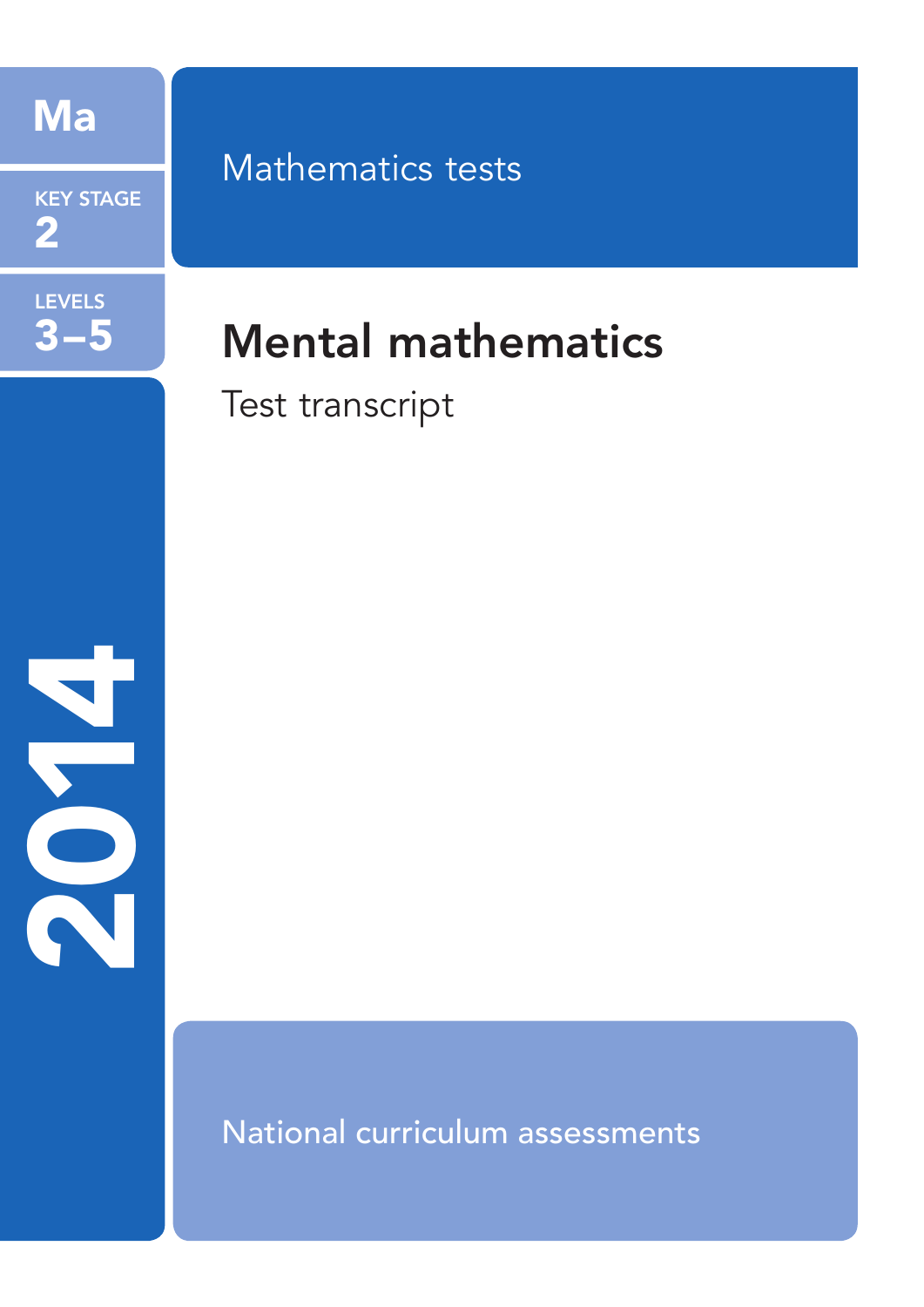

**KEY STAGE**  $\bf{2}$ 

# **LEVELS**  $3 - 5$

# **Mathematics tests**

# **Mental mathematics**

Test transcript



National curriculum assessments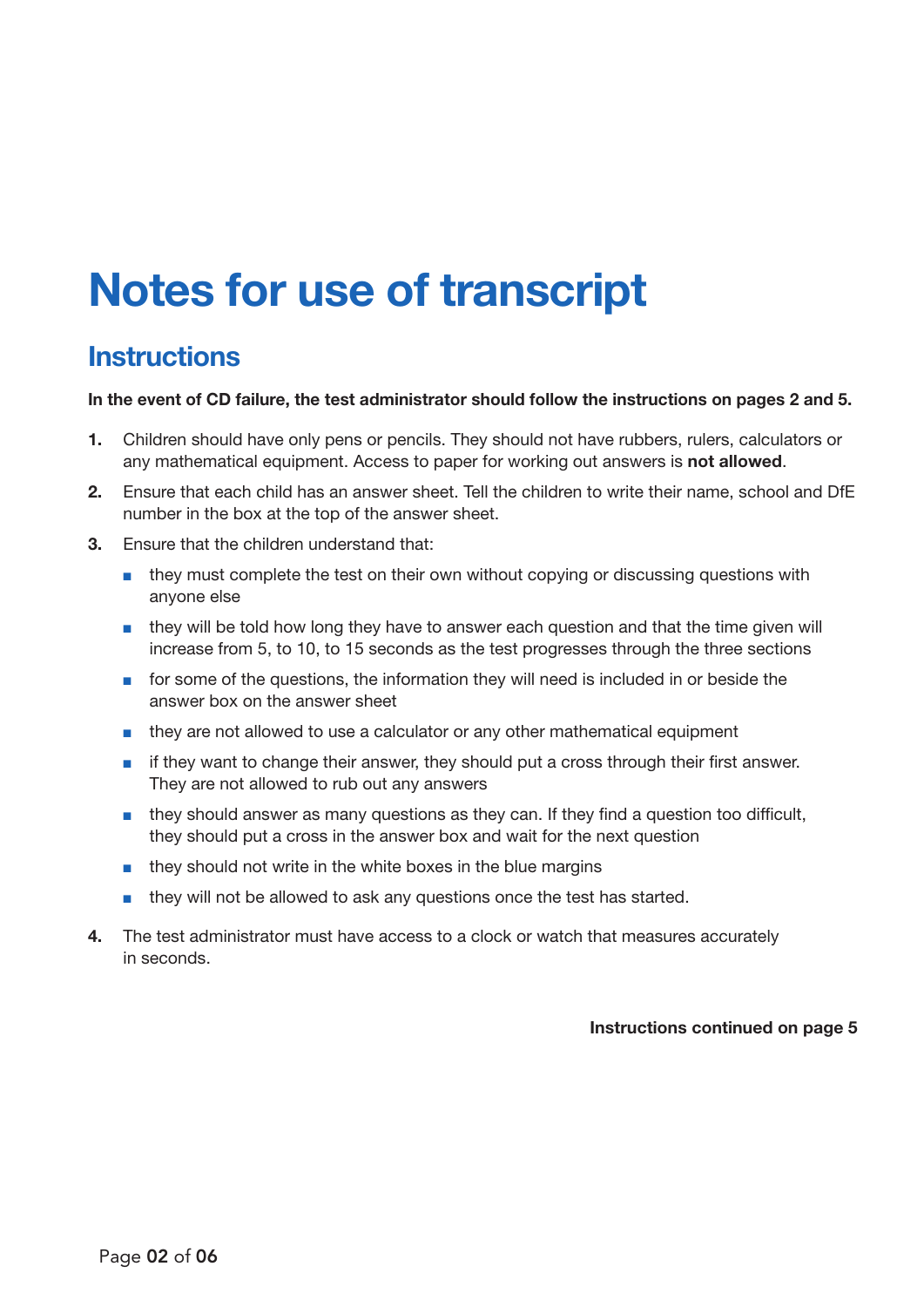# Notes for use of transcript

### **Instructions**

### In the event of CD failure, the test administrator should follow the instructions on pages 2 and 5.

- 1. Children should have only pens or pencils. They should not have rubbers, rulers, calculators or any mathematical equipment. Access to paper for working out answers is not allowed.
- 2. Ensure that each child has an answer sheet. Tell the children to write their name, school and DfE number in the box at the top of the answer sheet.
- 3. Ensure that the children understand that:
	- they must complete the test on their own without copying or discussing questions with anyone else
	- they will be told how long they have to answer each question and that the time given will increase from 5, to 10, to 15 seconds as the test progresses through the three sections
	- for some of the questions, the information they will need is included in or beside the answer box on the answer sheet
	- they are not allowed to use a calculator or any other mathematical equipment
	- if they want to change their answer, they should put a cross through their first answer. They are not allowed to rub out any answers
	- they should answer as many questions as they can. If they find a question too difficult, they should put a cross in the answer box and wait for the next question
	- they should not write in the white boxes in the blue margins
	- they will not be allowed to ask any questions once the test has started.
- 4. The test administrator must have access to a clock or watch that measures accurately in seconds.

### Instructions continued on page 5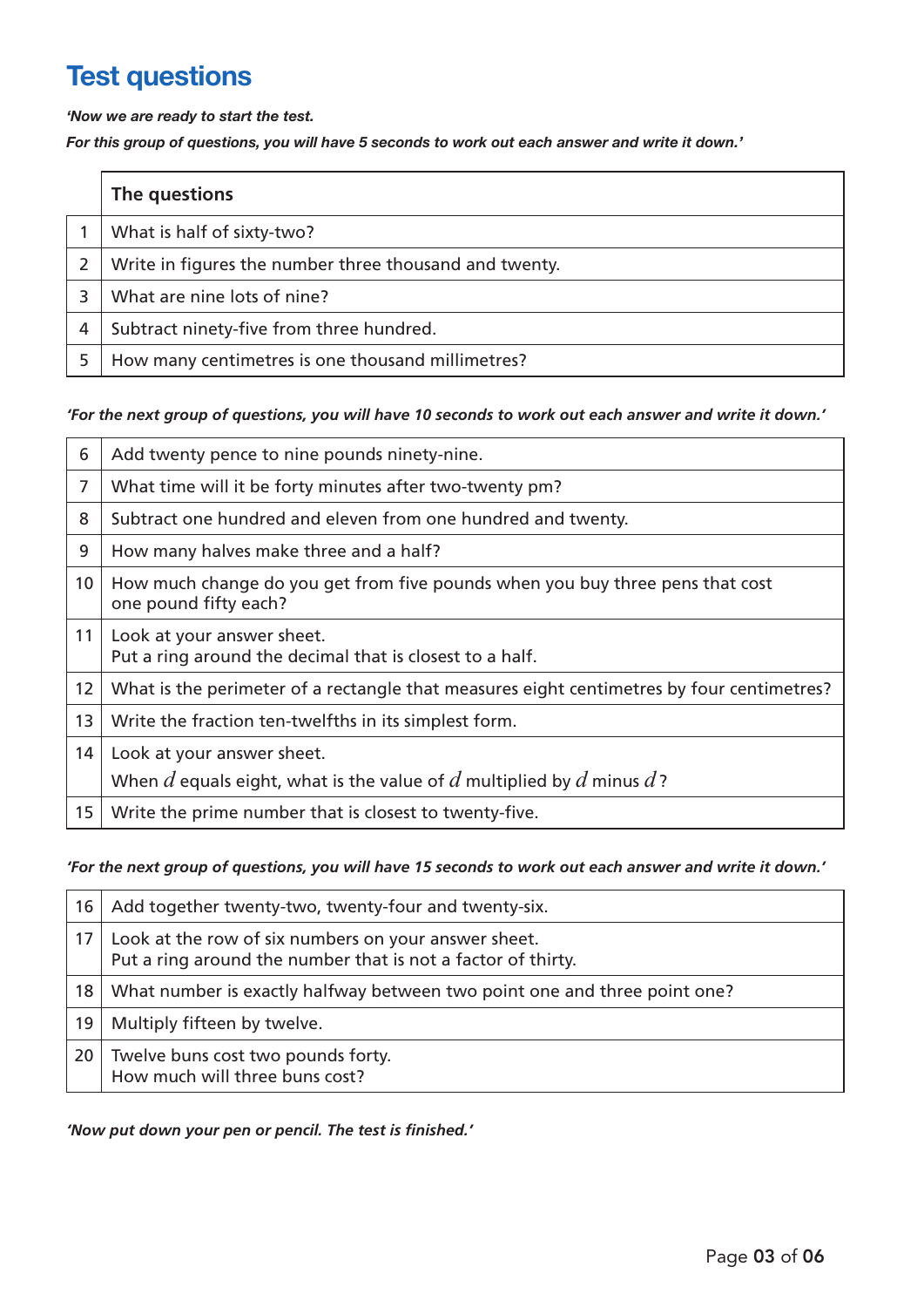## Test questions

*'Now we are ready to start the test.* 

*For this group of questions, you will have 5 seconds to work out each answer and write it down.'*

|   | The questions                                          |
|---|--------------------------------------------------------|
|   | What is half of sixty-two?                             |
|   | Write in figures the number three thousand and twenty. |
|   | What are nine lots of nine?                            |
| 4 | Subtract ninety-five from three hundred.               |
|   | How many centimetres is one thousand millimetres?      |

### *'For the next group of questions, you will have 10 seconds to work out each answer and write it down.'*

| 6               | Add twenty pence to nine pounds ninety-nine.                                                           |
|-----------------|--------------------------------------------------------------------------------------------------------|
| $\overline{7}$  | What time will it be forty minutes after two-twenty pm?                                                |
| 8               | Subtract one hundred and eleven from one hundred and twenty.                                           |
| 9               | How many halves make three and a half?                                                                 |
| 10 <sup>°</sup> | How much change do you get from five pounds when you buy three pens that cost<br>one pound fifty each? |
| 11              | Look at your answer sheet.<br>Put a ring around the decimal that is closest to a half.                 |
| 12              | What is the perimeter of a rectangle that measures eight centimetres by four centimetres?              |
| 13              | Write the fraction ten-twelfths in its simplest form.                                                  |
| 14              | Look at your answer sheet.                                                                             |
|                 | When $d$ equals eight, what is the value of $d$ multiplied by $d$ minus $d$ ?                          |
| 15 <sub>1</sub> | Write the prime number that is closest to twenty-five.                                                 |

### *'For the next group of questions, you will have 15 seconds to work out each answer and write it down.'*

| 16 | Add together twenty-two, twenty-four and twenty-six.                                                                 |
|----|----------------------------------------------------------------------------------------------------------------------|
| 17 | Look at the row of six numbers on your answer sheet.<br>Put a ring around the number that is not a factor of thirty. |
| 18 | What number is exactly halfway between two point one and three point one?                                            |
| 19 | Multiply fifteen by twelve.                                                                                          |
| 20 | Twelve buns cost two pounds forty.<br>How much will three buns cost?                                                 |

*'Now put down your pen or pencil. The test is finished.'*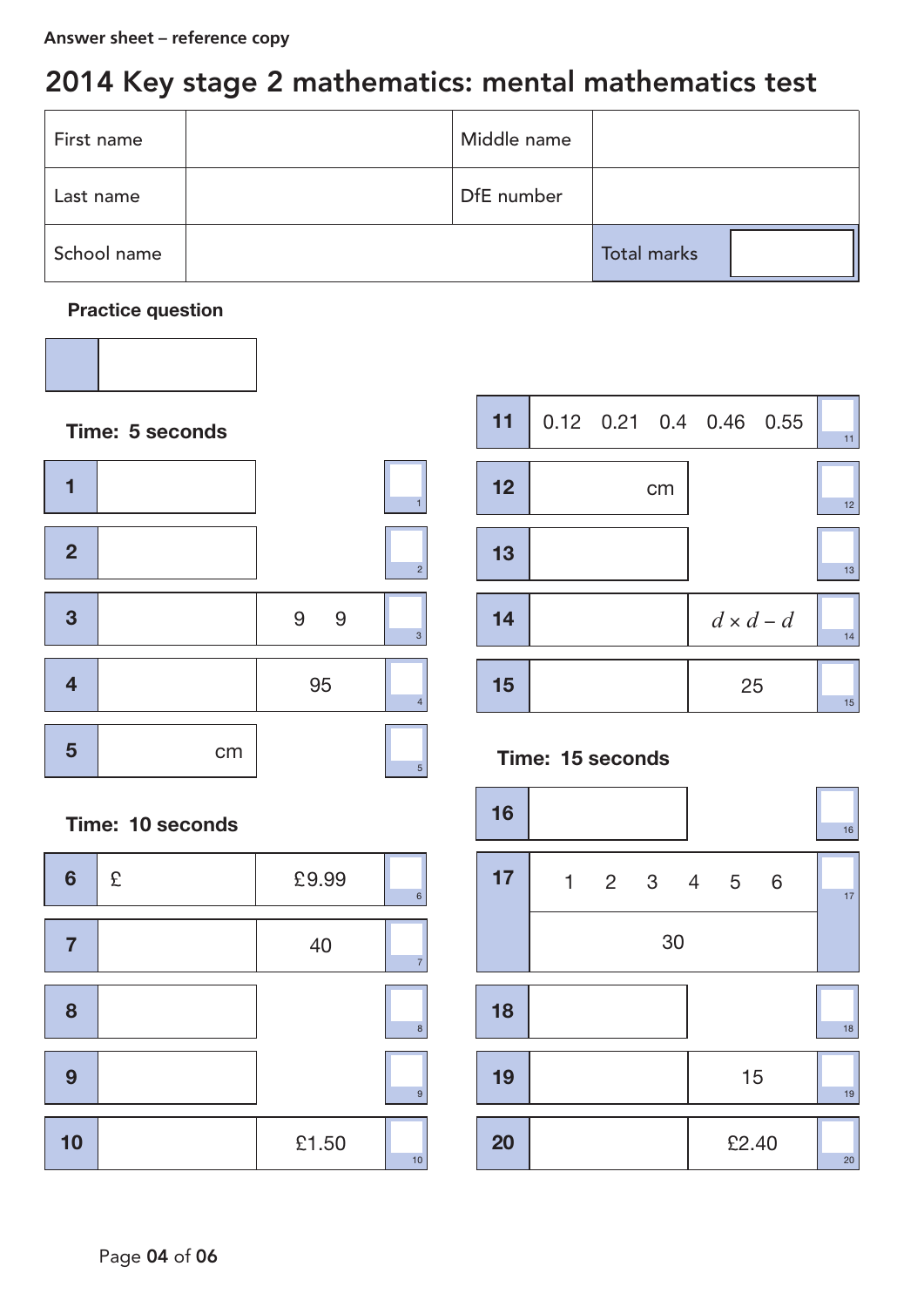## 2014 Key stage 2 mathematics: mental mathematics test

| First name  | Middle name |                    |  |
|-------------|-------------|--------------------|--|
| Last name   | DfE number  |                    |  |
| School name |             | <b>Total marks</b> |  |

### Practice question





### Time: 10 seconds

| $6\phantom{1}6$ | £ | £9.99 | $\,$ 6         |
|-----------------|---|-------|----------------|
|                 |   | 40    | $\overline{7}$ |
| 8               |   |       | $\bf{8}$       |
| 9               |   |       | $\overline{9}$ |
| 10              |   | £1.50 | 10             |



### Time: 15 seconds

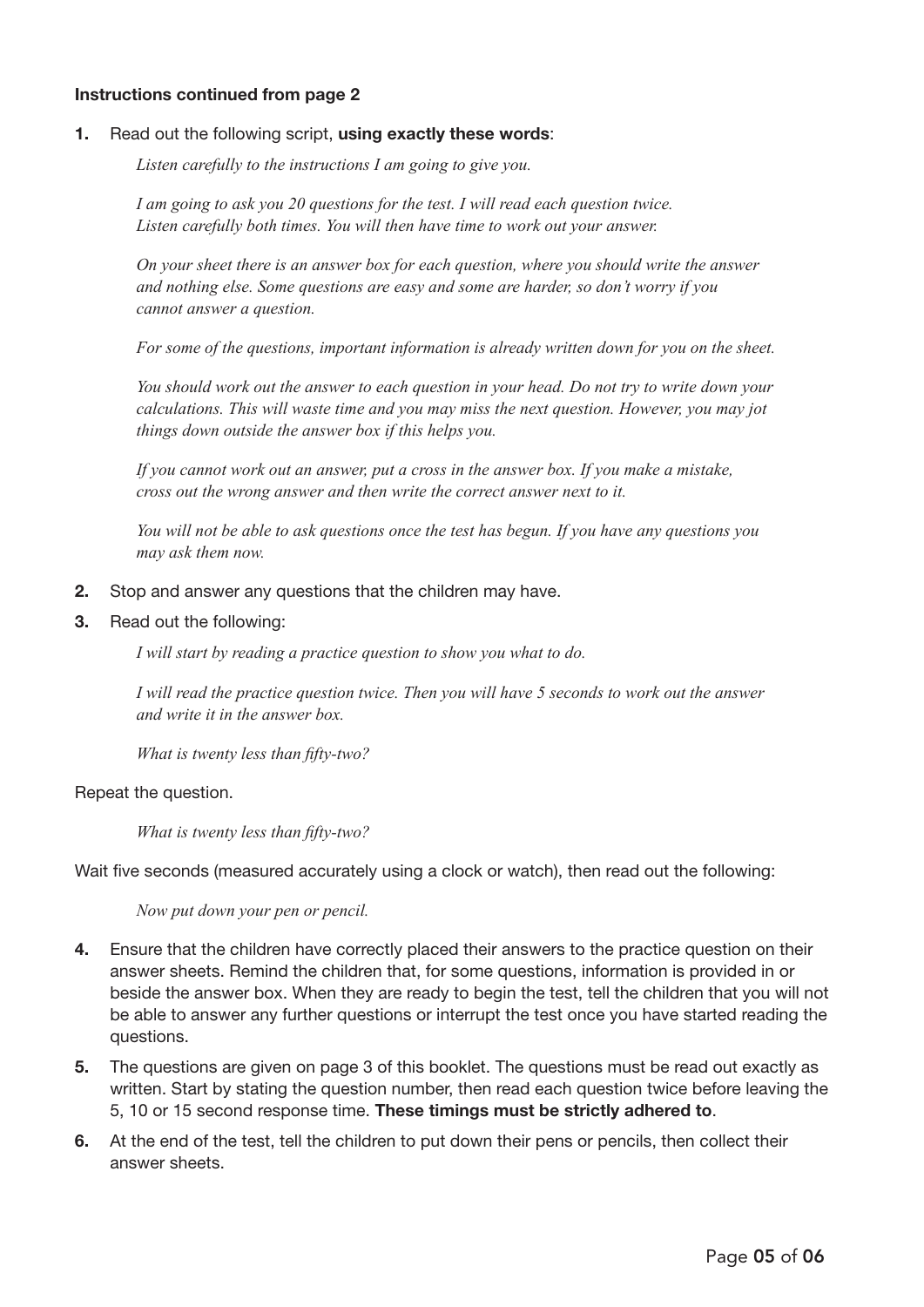### Instructions continued from page 2

#### 1. Read out the following script, using exactly these words:

*Listen carefully to the instructions I am going to give you.* 

*I am going to ask you 20 questions for the test. I will read each question twice. Listen carefully both times. You will then have time to work out your answer.* 

*On your sheet there is an answer box for each question, where you should write the answer and nothing else. Some questions are easy and some are harder, so don't worry if you cannot answer a question.* 

*For some of the questions, important information is already written down for you on the sheet.*

*You should work out the answer to each question in your head. Do not try to write down your calculations. This will waste time and you may miss the next question. However, you may jot things down outside the answer box if this helps you.* 

*If you cannot work out an answer, put a cross in the answer box. If you make a mistake, cross out the wrong answer and then write the correct answer next to it.*

*You will not be able to ask questions once the test has begun. If you have any questions you may ask them now.*

- 2. Stop and answer any questions that the children may have.
- 3. Read out the following:

*I will start by reading a practice question to show you what to do.*

*I will read the practice question twice. Then you will have 5 seconds to work out the answer and write it in the answer box.*

*What is twenty less than fifty-two?*

Repeat the question.

*What is twenty less than fifty-two?*

Wait five seconds (measured accurately using a clock or watch), then read out the following:

*Now put down your pen or pencil.*

- 4. Ensure that the children have correctly placed their answers to the practice question on their answer sheets. Remind the children that, for some questions, information is provided in or beside the answer box. When they are ready to begin the test, tell the children that you will not be able to answer any further questions or interrupt the test once you have started reading the questions.
- 5. The questions are given on page 3 of this booklet. The questions must be read out exactly as written. Start by stating the question number, then read each question twice before leaving the 5, 10 or 15 second response time. These timings must be strictly adhered to.
- 6. At the end of the test, tell the children to put down their pens or pencils, then collect their answer sheets.